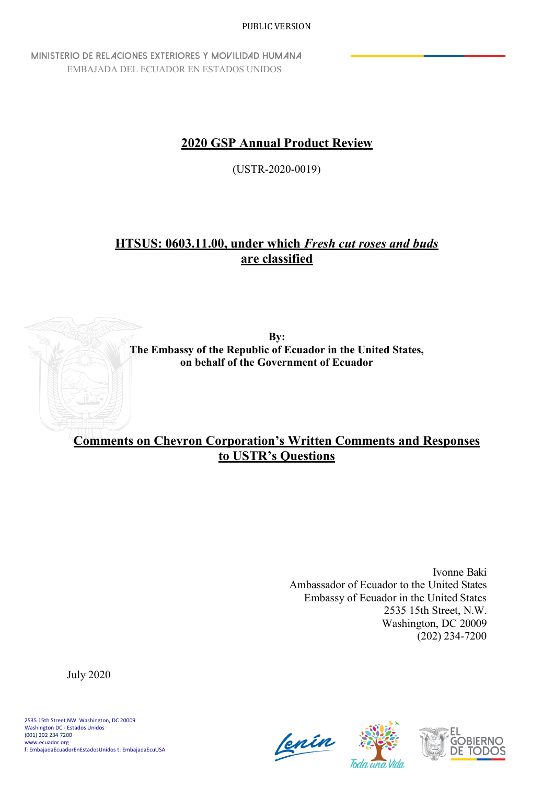MINISTERIO DE RELACIONES EXTERIORES Y MOVILIDAD HUMANA EMBAJADA DEL ECUADOR EN ESTADOS UNIDOS

# **2020 GSP Annual Product Review**

(USTR-2020-0019)

# **HTSUS: 0603.11.00, under which** *Fresh cut roses and buds* **are classified**



**Comments on Chevron Corporation's Written Comments and Responses to USTR's Questions**

> Ivonne Baki Ambassador of Ecuador to the United States Embassy of Ecuador in the United States 2535 15th Street, N.W. Washington, DC 20009 (202) 234-7200

July 2020





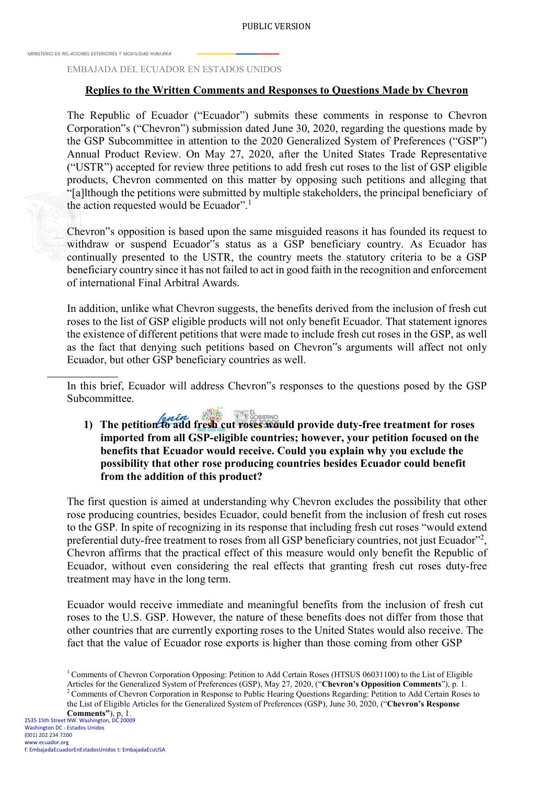MINISTERIO DE REL 4CIONES EXTERIORES Y MOVILIDAD HUMANA

#### EMBAJADA DEL ECUADOR EN ESTADOS UNIDOS

### **Replies to the Written Comments and Responses to Questions Made by Chevron**

The Republic of Ecuador ("Ecuador") submits these comments in response to Chevron Corporation"s ("Chevron") submission dated June 30, 2020, regarding the questions made by the GSP Subcommittee in attention to the 2020 Generalized System of Preferences ("GSP") Annual Product Review. On May 27, 2020, after the United States Trade Representative ("USTR") accepted for review three petitions to add fresh cut roses to the list of GSP eligible products, Chevron commented on this matter by opposing such petitions and alleging that "[a]lthough the petitions were submitted by multiple stakeholders, the principal beneficiary of the action requested would be Ecuador".<sup>1</sup>

Chevron"s opposition is based upon the same misguided reasons it has founded its request to withdraw or suspend Ecuador"s status as a GSP beneficiary country. As Ecuador has continually presented to the USTR, the country meets the statutory criteria to be a GSP beneficiary country since it has not failed to act in good faith in the recognition and enforcement of international Final Arbitral Awards.

In addition, unlike what Chevron suggests, the benefits derived from the inclusion of fresh cut roses to the list of GSP eligible products will not only benefit Ecuador. That statement ignores the existence of different petitions that were made to include fresh cut roses in the GSP, as well as the fact that denying such petitions based on Chevron"s arguments will affect not only Ecuador, but other GSP beneficiary countries as well.

In this brief, Ecuador will address Chevron"s responses to the questions posed by the GSP Subcommittee.

1) The petition to add fresh cut roses would provide duty-free treatment for roses **imported from all GSP-eligible countries; however, your petition focused on the benefits that Ecuador would receive. Could you explain why you exclude the possibility that other rose producing countries besides Ecuador could benefit from the addition of this product?**

The first question is aimed at understanding why Chevron excludes the possibility that other rose producing countries, besides Ecuador, could benefit from the inclusion of fresh cut roses to the GSP. In spite of recognizing in its response that including fresh cut roses "would extend preferential duty-free treatment to roses from all GSP beneficiary countries, not just Ecuador"<sup>2</sup>, Chevron affirms that the practical effect of this measure would only benefit the Republic of Ecuador, without even considering the real effects that granting fresh cut roses duty-free treatment may have in the long term.

Ecuador would receive immediate and meaningful benefits from the inclusion of fresh cut roses to the U.S. GSP. However, the nature of these benefits does not differ from those that other countries that are currently exporting roses to the United States would also receive. The fact that the value of Ecuador rose exports is higher than those coming from other GSP

<sup>&</sup>lt;sup>1</sup> Comments of Chevron Corporation Opposing: Petition to Add Certain Roses (HTSUS 06031100) to the List of Eligible Articles for the Generalized System of Preferences (GSP), May 27, 2020, ("**Chevron's Opposition Comments**"), p. 1. <sup>2</sup> Comments of Chevron Corporation in Response to Public Hearing Questions Regarding: Petition to Add Certain Roses to the List of Eligible Articles for the Generalized System of Preferences (GSP), June 30, 2020, ("**Chevron's Response Comments"**), p, 1.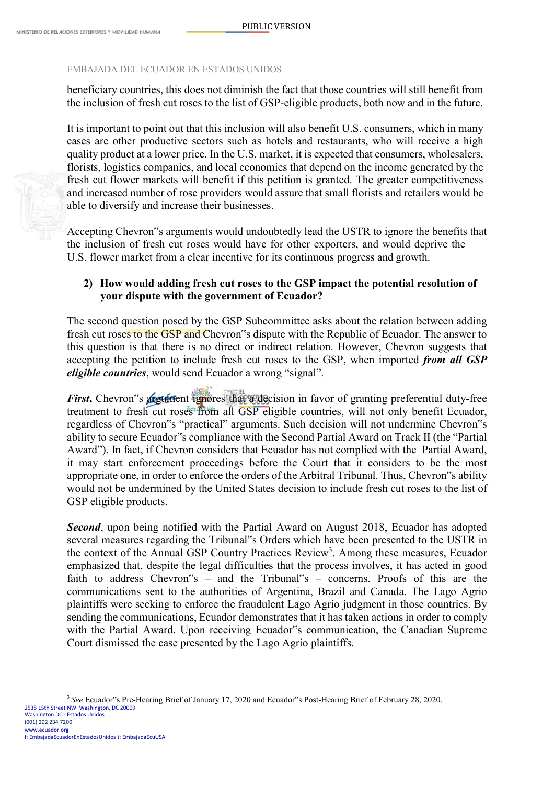#### EMBAJADA DEL ECUADOR EN ESTADOS UNIDOS

beneficiary countries, this does not diminish the fact that those countries will still benefit from the inclusion of fresh cut roses to the list of GSP-eligible products, both now and in the future.

It is important to point out that this inclusion will also benefit U.S. consumers, which in many cases are other productive sectors such as hotels and restaurants, who will receive a high quality product at a lower price. In the U.S. market, it is expected that consumers, wholesalers, florists, logistics companies, and local economies that depend on the income generated by the fresh cut flower markets will benefit if this petition is granted. The greater competitiveness and increased number of rose providers would assure that small florists and retailers would be able to diversify and increase their businesses.

Accepting Chevron"s arguments would undoubtedly lead the USTR to ignore the benefits that the inclusion of fresh cut roses would have for other exporters, and would deprive the U.S. flower market from a clear incentive for its continuous progress and growth.

## **2) How would adding fresh cut roses to the GSP impact the potential resolution of your dispute with the government of Ecuador?**

The second question posed by the GSP Subcommittee asks about the relation between adding fresh cut roses to the GSP and Chevron"s dispute with the Republic of Ecuador. The answer to this question is that there is no direct or indirect relation. However, Chevron suggests that accepting the petition to include fresh cut roses to the GSP, when imported *from all GSP eligible countries*, would send Ecuador a wrong "signal".

*First*, Chevron"s **argument** ignores that a decision in favor of granting preferential duty-free treatment to fresh cut roses from all GSP eligible countries, will not only benefit Ecuador, regardless of Chevron"s "practical" arguments. Such decision will not undermine Chevron"s ability to secure Ecuador"s compliance with the Second Partial Award on Track II (the "Partial Award"). In fact, if Chevron considers that Ecuador has not complied with the Partial Award, it may start enforcement proceedings before the Court that it considers to be the most appropriate one, in order to enforce the orders of the Arbitral Tribunal. Thus, Chevron"s ability would not be undermined by the United States decision to include fresh cut roses to the list of GSP eligible products.

**Second**, upon being notified with the Partial Award on August 2018, Ecuador has adopted several measures regarding the Tribunal"s Orders which have been presented to the USTR in the context of the Annual GSP Country Practices Review<sup>3</sup>. Among these measures, Ecuador emphasized that, despite the legal difficulties that the process involves, it has acted in good faith to address Chevron"s – and the Tribunal"s – concerns. Proofs of this are the communications sent to the authorities of Argentina, Brazil and Canada. The Lago Agrio plaintiffs were seeking to enforce the fraudulent Lago Agrio judgment in those countries. By sending the communications, Ecuador demonstrates that it has taken actions in order to comply with the Partial Award. Upon receiving Ecuador"s communication, the Canadian Supreme Court dismissed the case presented by the Lago Agrio plaintiffs.

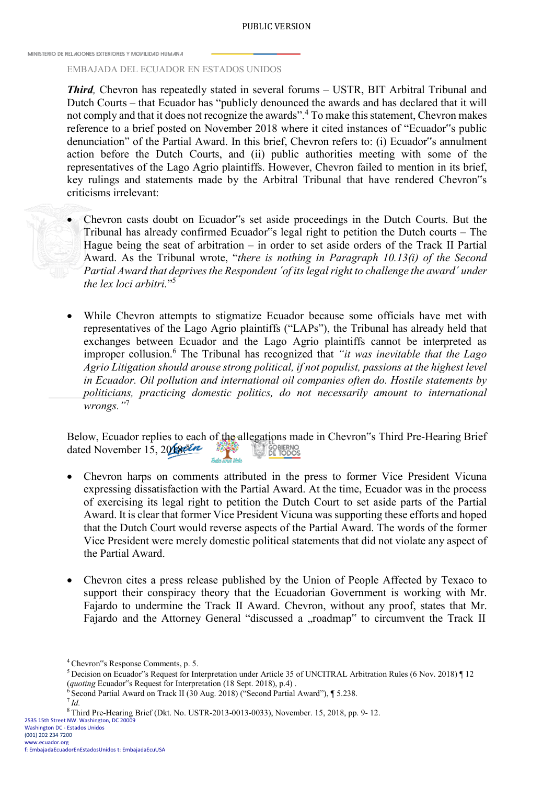#### PUBLIC VERSION

MINISTERIO DE REL 4CIONES EXTERIORES Y MOVILIDAD HUM 4N 4

#### EMBAJADA DEL ECUADOR EN ESTADOS UNIDOS

*Third,* Chevron has repeatedly stated in several forums – USTR, BIT Arbitral Tribunal and Dutch Courts – that Ecuador has "publicly denounced the awards and has declared that it will not comply and that it does not recognize the awards".<sup>4</sup> To make this statement, Chevron makes reference to a brief posted on November 2018 where it cited instances of "Ecuador"s public denunciation" of the Partial Award. In this brief, Chevron refers to: (i) Ecuador"s annulment action before the Dutch Courts, and (ii) public authorities meeting with some of the representatives of the Lago Agrio plaintiffs. However, Chevron failed to mention in its brief, key rulings and statements made by the Arbitral Tribunal that have rendered Chevron"s criticisms irrelevant:

• Chevron casts doubt on Ecuador"s set aside proceedings in the Dutch Courts. But the Tribunal has already confirmed Ecuador"s legal right to petition the Dutch courts – The Hague being the seat of arbitration – in order to set aside orders of the Track II Partial Award. As the Tribunal wrote, "*there is nothing in Paragraph 10.13(i) of the Second Partial Award that deprives the Respondent ´of its legal right to challenge the award´ under the lex loci arbitri.*"5

While Chevron attempts to stigmatize Ecuador because some officials have met with representatives of the Lago Agrio plaintiffs ("LAPs"), the Tribunal has already held that exchanges between Ecuador and the Lago Agrio plaintiffs cannot be interpreted as improper collusion.<sup>6</sup> The Tribunal has recognized that *"it was inevitable that the Lago Agrio Litigation should arouse strong political, if not populist, passions at the highest level in Ecuador. Oil pollution and international oil companies often do. Hostile statements by politicians, practicing domestic politics, do not necessarily amount to international wrongs."*<sup>7</sup>

Below, Ecuador replies to each of the allegations made in Chevron"s Third Pre-Hearing Brief dated November 15, 2018 821 **SET GOBIERNO** 不可

- Chevron harps on comments attributed in the press to former Vice President Vicuna expressing dissatisfaction with the Partial Award. At the time, Ecuador was in the process of exercising its legal right to petition the Dutch Court to set aside parts of the Partial Award. It is clear that former Vice President Vicuna was supporting these efforts and hoped that the Dutch Court would reverse aspects of the Partial Award. The words of the former Vice President were merely domestic political statements that did not violate any aspect of the Partial Award.
- Chevron cites a press release published by the Union of People Affected by Texaco to support their conspiracy theory that the Ecuadorian Government is working with Mr. Fajardo to undermine the Track II Award. Chevron, without any proof, states that Mr. Fajardo and the Attorney General "discussed a "roadmap" to circumvent the Track II

<sup>5</sup> Decision on Ecuador"s Request for Interpretation under Article 35 of UNCITRAL Arbitration Rules (6 Nov. 2018) ¶ 12 (*quoting* Ecuador"s Request for Interpretation (18 Sept. 2018), p.4).<br>
<sup>6</sup> Second Partial Award on Track II (30 Aug. 2018) ("Second Partial Award"), ¶ 5.238.<br>
<sup>7</sup>*Id.* 

2535 15th Street NW. Washington, DC 20009 Washington DC - Estados Unidos

<sup>4</sup>Chevron"s Response Comments, p. 5.

<sup>8</sup> Third Pre-Hearing Brief (Dkt. No. USTR-2013-0013-0033), November. 15, 2018, pp. 9- 12.

<sup>(001) 202 234 7200</sup> [www.ecuador.org](http://www.ecuador.org/)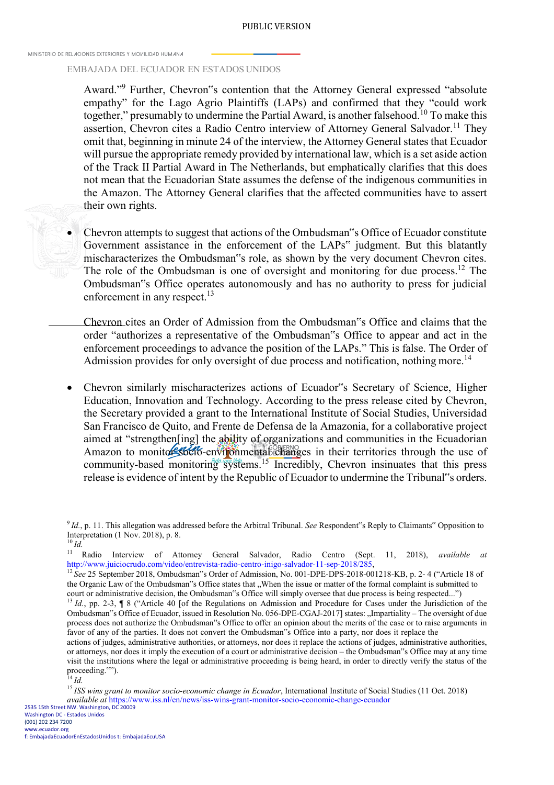#### PUBLIC VERSION

MINISTERIO DE REL 4CIONES EXTERIORES Y MOI/ILIDAD HUM AN 4

#### EMBAJADA DEL ECUADOR EN ESTADOS UNIDOS

Award."9 Further, Chevron"s contention that the Attorney General expressed "absolute empathy" for the Lago Agrio Plaintiffs (LAPs) and confirmed that they "could work together," presumably to undermine the Partial Award, is another falsehood.<sup>10</sup> To make this assertion, Chevron cites a Radio Centro interview of Attorney General Salvador.<sup>11</sup> They omit that, beginning in minute 24 of the interview, the Attorney General states that Ecuador will pursue the appropriate remedy provided by international law, which is a set aside action of the Track II Partial Award in The Netherlands, but emphatically clarifies that this does not mean that the Ecuadorian State assumes the defense of the indigenous communities in the Amazon. The Attorney General clarifies that the affected communities have to assert their own rights.



• Chevron attempts to suggest that actions of the Ombudsman"s Office of Ecuador constitute Government assistance in the enforcement of the LAPs" judgment. But this blatantly mischaracterizes the Ombudsman"s role, as shown by the very document Chevron cites. The role of the Ombudsman is one of oversight and monitoring for due process.<sup>12</sup> The Ombudsman"s Office operates autonomously and has no authority to press for judicial enforcement in any respect.<sup>13</sup>

Chevron cites an Order of Admission from the Ombudsman"s Office and claims that the order "authorizes a representative of the Ombudsman"s Office to appear and act in the enforcement proceedings to advance the position of the LAPs." This is false. The Order of Admission provides for only oversight of due process and notification, nothing more.<sup>14</sup>

• Chevron similarly mischaracterizes actions of Ecuador"s Secretary of Science, Higher Education, Innovation and Technology. According to the press release cited by Chevron, the Secretary provided a grant to the International Institute of Social Studies, Universidad San Francisco de Quito, and Frente de Defensa de la Amazonia, for a collaborative project aimed at "strengthen[ing] the ability of organizations and communities in the Ecuadorian Amazon to monitor socio-environmental changes in their territories through the use of community-based monitoring systems.<sup>15</sup> Incredibly, Chevron insinuates that this press release is evidence of intent by the Republic of Ecuador to undermine the Tribunal"s orders.

11 Radio Interview of Attorney General Salvador, Radio Centro (Sept. 11, 2018), *available at* [http://www.juiciocrudo.com/video/entrevista-radio-centro-inigo-salvador-11-sep-2018/285,](http://www.juiciocrudo.com/video/entrevista-radio-centro-inigo-salvador-11-sep-2018/285)

<sup>12</sup> See 25 September 2018, Ombudsman"s Order of Admission, No. 001-DPE-DPS-2018-001218-KB, p. 2-4 ("Article 18 of the Organic Law of the Ombudsman"s Office states that "When the issue or matter of the formal complaint is submitted to court or administrative decision, the Ombudsman"s Office will simply oversee that due process is being respected...")

<sup>13</sup> Id., pp. 2-3, ¶ 8 ("Article 40 [of the Regulations on Admission and Procedure for Cases under the Jurisdiction of the Ombudsman"s Office of Ecuador, issued in Resolution No. 056-DPE-CGAJ-2017] states: "Impartiality – The oversight of due process does not authorize the Ombudsman"s Office to offer an opinion about the merits of the case or to raise arguments in favor of any of the parties. It does not convert the Ombudsman"s Office into a party, nor does it replace the

actions of judges, administrative authorities, or attorneys, nor does it replace the actions of judges, administrative authorities, or attorneys, nor does it imply the execution of a court or administrative decision – the Ombudsman"s Office may at any time visit the institutions where the legal or administrative proceeding is being heard, in order to directly verify the status of the proceeding."").

<sup>14</sup>*Id.*

<sup>15</sup> ISS wins grant to monitor socio-economic change in Ecuador, International Institute of Social Studies (11 Oct. 2018) *available at* https[://www.iss.nl/en/news/iss-wins-grant-monitor-socio-economic-change-ecuador](http://www.iss.nl/en/news/iss-wins-grant-monitor-socio-economic-change-ecuador) 2535 15th Street NW. Washington, DC 20009 Washington DC - Estados Unidos

(001) 202 234 7200 [www.ecuador.org](http://www.ecuador.org/) f: EmbajadaEcuadorEnEstadosUnidos t: EmbajadaEcuUSA

<sup>9</sup>*Id.*, p. 11. This allegation was addressed before the Arbitral Tribunal. *See* Respondent"s Reply to Claimants" Opposition to Interpretation (1 Nov. 2018), p. 8.  $\frac{10}{10}$ *Id.*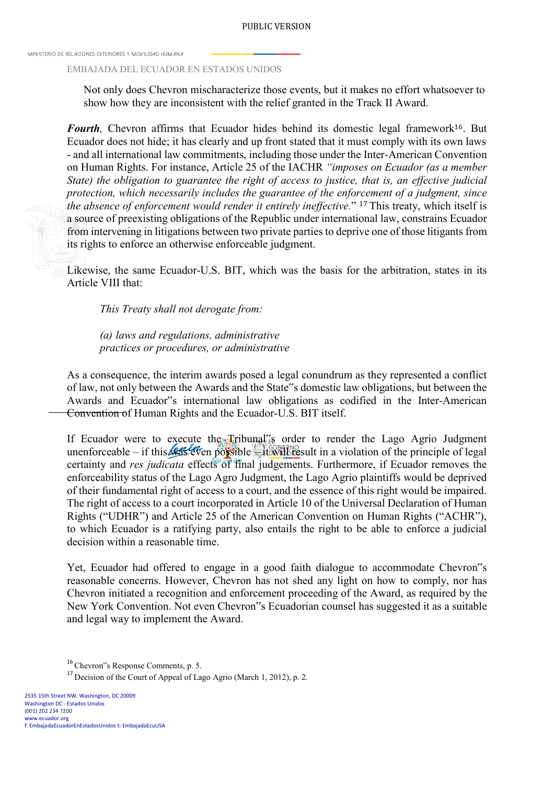### EMBAJADA DEL ECUADOR EN ESTADOS UNIDOS

Not only does Chevron mischaracterize those events, but it makes no effort whatsoever to show how they are inconsistent with the relief granted in the Track II Award.

*Fourth*, Chevron affirms that Ecuador hides behind its domestic legal framework<sup>16</sup>. But Ecuador does not hide; it has clearly and up front stated that it must comply with its own laws - and all international law commitments, including those under the Inter-American Convention on Human Rights. For instance, Article 25 of the IACHR *"imposes on Ecuador (as a member State) the obligation to guarantee the right of access to justice, that is, an effective judicial protection, which necessarily includes the guarantee of the enforcement of a judgment, since the absence of enforcement would render it entirely ineffective.*" 17 This treaty, which itself is a source of preexisting obligations of the Republic under international law, constrains Ecuador from intervening in litigations between two private parties to deprive one of those litigants from its rights to enforce an otherwise enforceable judgment.

Likewise, the same Ecuador-U.S. BIT, which was the basis for the arbitration, states in its Article VIII that:

*This Treaty shall not derogate from:*

*(a) laws and regulations, administrative practices or procedures, or administrative* 

As a consequence, the interim awards posed a legal conundrum as they represented a conflict of law, not only between the Awards and the State"s domestic law obligations, but between the Awards and Ecuador"s international law obligations as codified in the Inter-American Convention of Human Rights and the Ecuador-U.S. BIT itself.

If Ecuador were to execute the Tribunal"s order to render the Lago Agrio Judgment unenforceable – if this was even possible – it will result in a violation of the principle of legal certainty and *res judicata* effects of final judgements. Furthermore, if Ecuador removes the enforceability status of the Lago Agro Judgment, the Lago Agrio plaintiffs would be deprived of their fundamental right of access to a court, and the essence of this right would be impaired. The right of access to a court incorporated in Article 10 of the Universal Declaration of Human Rights ("UDHR") and Article 25 of the American Convention on Human Rights ("ACHR"), to which Ecuador is a ratifying party, also entails the right to be able to enforce a judicial decision within a reasonable time.

Yet, Ecuador had offered to engage in a good faith dialogue to accommodate Chevron"s reasonable concerns. However, Chevron has not shed any light on how to comply, nor has Chevron initiated a recognition and enforcement proceeding of the Award, as required by the New York Convention. Not even Chevron"s Ecuadorian counsel has suggested it as a suitable and legal way to implement the Award.

<sup>&</sup>lt;sup>16</sup> Chevron"s Response Comments, p. 5.

<sup>&</sup>lt;sup>17</sup> Decision of the Court of Appeal of Lago Agrio (March 1, 2012), p. 2.